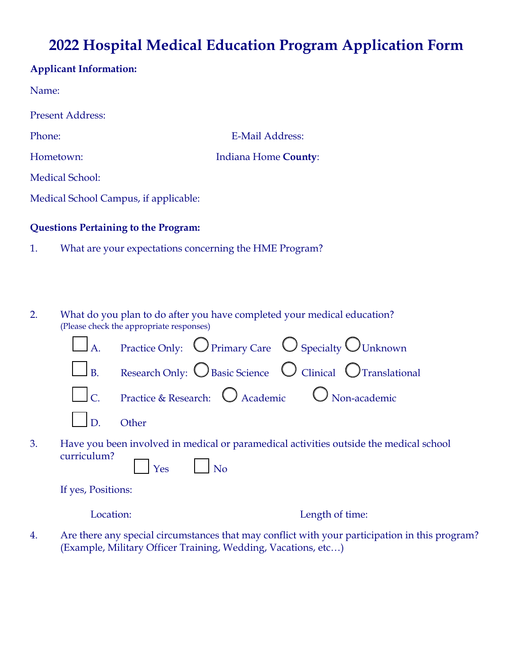## **2022 Hospital Medical Education Program Application Form**

| <b>Applicant Information:</b>                                |                      |
|--------------------------------------------------------------|----------------------|
| Name:                                                        |                      |
| <b>Present Address:</b>                                      |                      |
| Phone:                                                       | E-Mail Address:      |
| Hometown:                                                    | Indiana Home County: |
| <b>Medical School:</b>                                       |                      |
| Medical School Campus, if applicable:                        |                      |
| <b>Questions Pertaining to the Program:</b>                  |                      |
| What are your expectations concerning the HME Program?<br>1. |                      |
|                                                              |                      |

2. What do you plan to do after you have completed your medical education? (Please check the appropriate responses)

|                 | $\Box$ A. Practice Only: $\bigcirc$ Primary Care $\bigcirc$ Specialty $\bigcirc$ Unknown       |
|-----------------|------------------------------------------------------------------------------------------------|
|                 | $\Box$ B. Research Only: $\bigcirc$ Basic Science $\bigcirc$ Clinical $\bigcirc$ Translational |
|                 | C. Practice & Research: O Academic O Non-academic                                              |
| $\Box$ D. Other |                                                                                                |
|                 |                                                                                                |

3. Have you been involved in medical or paramedical activities outside the medical school curriculum?  $Y$ es  $\bigcup$ No

If yes, Positions:

Location: Length of time:

4. Are there any special circumstances that may conflict with your participation in this program? (Example, Military Officer Training, Wedding, Vacations, etc…)